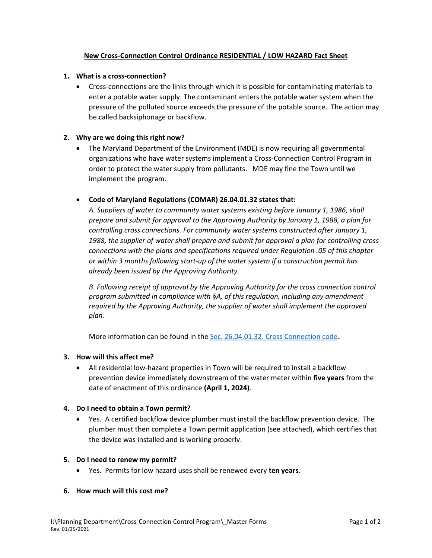# **New Cross-Connection Control Ordinance RESIDENTIAL / LOW HAZARD Fact Sheet**

## **1. What is a cross-connection?**

• Cross-connections are the links through which it is possible for contaminating materials to enter a potable water supply. The contaminant enters the potable water system when the pressure of the polluted source exceeds the pressure of the potable source. The action may be called backsiphonage or backflow.

# **2. Why are we doing this right now?**

• The Maryland Department of the Environment (MDE) is now requiring all governmental organizations who have water systems implement a Cross-Connection Control Program in order to protect the water supply from pollutants. MDE may fine the Town until we implement the program.

# • **Code of Maryland Regulations (COMAR) 26.04.01.32 states that:**

*A. Suppliers of water to community water systems existing before January 1, 1986, shall prepare and submit for approval to the Approving Authority by January 1, 1988, a plan for controlling cross connections. For community water systems constructed after January 1, 1988, the supplier of water shall prepare and submit for approval a plan for controlling cross connections with the plans and specifications required under Regulation .05 of this chapter or within 3 months following start-up of the water system if a construction permit has already been issued by the Approving Authority.*

*B. Following receipt of approval by the Approving Authority for the cross connection control program submitted in compliance with §A, of this regulation, including any amendment required by the Approving Authority, the supplier of water shall implement the approved plan.*

More information can be found in the [Sec. 26.04.01.32. Cross Connection code](http://mdrules.elaws.us/comar/26.04.01.32).

## **3. How will this affect me?**

• All residential low-hazard properties in Town will be required to install a backflow prevention device immediately downstream of the water meter within **five years** from the date of enactment of this ordinance **(April 1, 2024)**.

## **4. Do I need to obtain a Town permit?**

• Yes. A certified backflow device plumber must install the backflow prevention device. The plumber must then complete a Town permit application (see attached), which certifies that the device was installed and is working properly.

## **5. Do I need to renew my permit?**

• Yes. Permits for low hazard uses shall be renewed every **ten years**.

#### **6. How much will this cost me?**